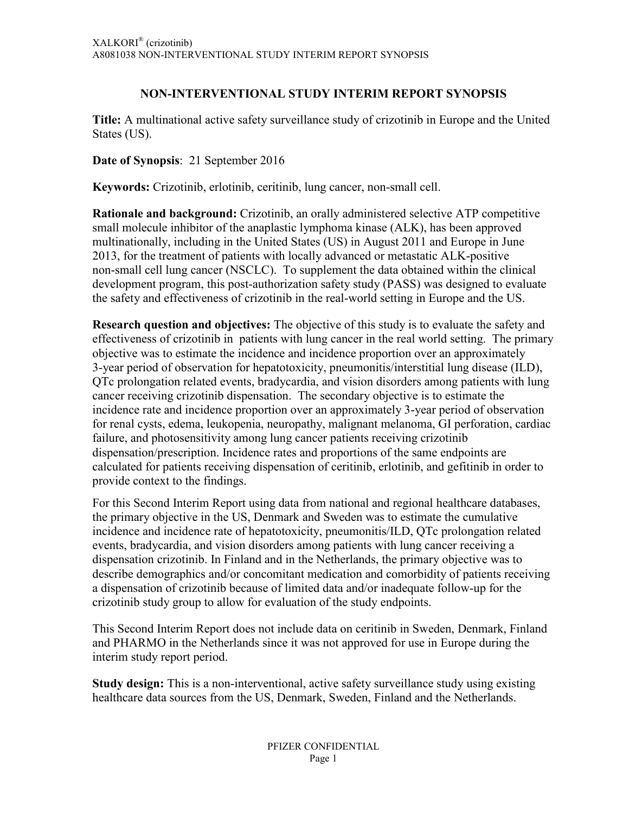# **NON-INTERVENTIONAL STUDY INTERIM REPORT SYNOPSIS**

**Title:** A multinational active safety surveillance study of crizotinib in Europe and the United States (US).

**Date of Synopsis**: 21 September 2016

**Keywords:** Crizotinib, erlotinib, ceritinib, lung cancer, non-small cell.

**Rationale and background:** Crizotinib, an orally administered selective ATP competitive small molecule inhibitor of the anaplastic lymphoma kinase (ALK), has been approved multinationally, including in the United States (US) in August 2011 and Europe in June 2013, for the treatment of patients with locally advanced or metastatic ALK-positive non-small cell lung cancer (NSCLC). To supplement the data obtained within the clinical development program, this post-authorization safety study (PASS) was designed to evaluate the safety and effectiveness of crizotinib in the real-world setting in Europe and the US.

**Research question and objectives:** The objective of this study is to evaluate the safety and effectiveness of crizotinib in patients with lung cancer in the real world setting. The primary objective was to estimate the incidence and incidence proportion over an approximately 3-year period of observation for hepatotoxicity, pneumonitis/interstitial lung disease (ILD), QTc prolongation related events, bradycardia, and vision disorders among patients with lung cancer receiving crizotinib dispensation. The secondary objective is to estimate the incidence rate and incidence proportion over an approximately 3-year period of observation for renal cysts, edema, leukopenia, neuropathy, malignant melanoma, GI perforation, cardiac failure, and photosensitivity among lung cancer patients receiving crizotinib dispensation/prescription. Incidence rates and proportions of the same endpoints are calculated for patients receiving dispensation of ceritinib, erlotinib, and gefitinib in order to provide context to the findings.

For this Second Interim Report using data from national and regional healthcare databases, the primary objective in the US, Denmark and Sweden was to estimate the cumulative incidence and incidence rate of hepatotoxicity, pneumonitis/ILD, QTc prolongation related events, bradycardia, and vision disorders among patients with lung cancer receiving a dispensation crizotinib. In Finland and in the Netherlands, the primary objective was to describe demographics and/or concomitant medication and comorbidity of patients receiving a dispensation of crizotinib because of limited data and/or inadequate follow-up for the crizotinib study group to allow for evaluation of the study endpoints.

This Second Interim Report does not include data on ceritinib in Sweden, Denmark, Finland and PHARMO in the Netherlands since it was not approved for use in Europe during the interim study report period.

**Study design:** This is a non-interventional, active safety surveillance study using existing healthcare data sources from the US, Denmark, Sweden, Finland and the Netherlands.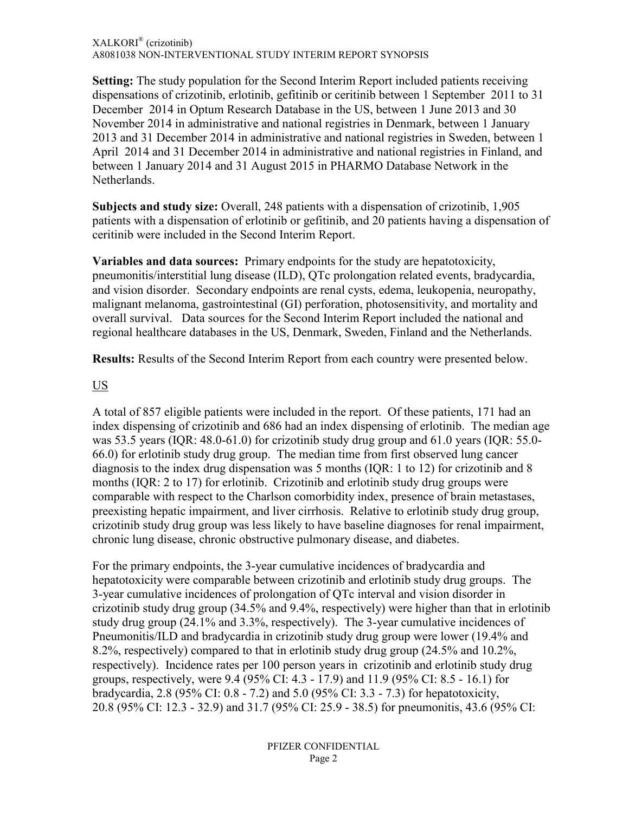#### XALKORI® (crizotinib) A8081038 NON-INTERVENTIONAL STUDY INTERIM REPORT SYNOPSIS

**Setting:** The study population for the Second Interim Report included patients receiving dispensations of crizotinib, erlotinib, gefitinib or ceritinib between 1 September 2011 to 31 December 2014 in Optum Research Database in the US, between 1 June 2013 and 30 November 2014 in administrative and national registries in Denmark, between 1 January 2013 and 31 December 2014 in administrative and national registries in Sweden, between 1 April 2014 and 31 December 2014 in administrative and national registries in Finland, and between 1 January 2014 and 31 August 2015 in PHARMO Database Network in the Netherlands.

**Subjects and study size:** Overall, 248 patients with a dispensation of crizotinib, 1,905 patients with a dispensation of erlotinib or gefitinib, and 20 patients having a dispensation of ceritinib were included in the Second Interim Report.

**Variables and data sources:** Primary endpoints for the study are hepatotoxicity, pneumonitis/interstitial lung disease (ILD), QTc prolongation related events, bradycardia, and vision disorder. Secondary endpoints are renal cysts, edema, leukopenia, neuropathy, malignant melanoma, gastrointestinal (GI) perforation, photosensitivity, and mortality and overall survival. Data sources for the Second Interim Report included the national and regional healthcare databases in the US, Denmark, Sweden, Finland and the Netherlands.

**Results:** Results of the Second Interim Report from each country were presented below.

### US

A total of 857 eligible patients were included in the report. Of these patients, 171 had an index dispensing of crizotinib and 686 had an index dispensing of erlotinib. The median age was 53.5 years (IQR: 48.0-61.0) for crizotinib study drug group and 61.0 years (IQR: 55.0- 66.0) for erlotinib study drug group. The median time from first observed lung cancer diagnosis to the index drug dispensation was 5 months (IQR: 1 to 12) for crizotinib and 8 months (IQR: 2 to 17) for erlotinib. Crizotinib and erlotinib study drug groups were comparable with respect to the Charlson comorbidity index, presence of brain metastases, preexisting hepatic impairment, and liver cirrhosis. Relative to erlotinib study drug group, crizotinib study drug group was less likely to have baseline diagnoses for renal impairment, chronic lung disease, chronic obstructive pulmonary disease, and diabetes.

For the primary endpoints, the 3-year cumulative incidences of bradycardia and hepatotoxicity were comparable between crizotinib and erlotinib study drug groups. The 3-year cumulative incidences of prolongation of QTc interval and vision disorder in crizotinib study drug group (34.5% and 9.4%, respectively) were higher than that in erlotinib study drug group (24.1% and 3.3%, respectively). The 3-year cumulative incidences of Pneumonitis/ILD and bradycardia in crizotinib study drug group were lower (19.4% and 8.2%, respectively) compared to that in erlotinib study drug group (24.5% and 10.2%, respectively). Incidence rates per 100 person years in crizotinib and erlotinib study drug groups, respectively, were 9.4 (95% CI: 4.3 - 17.9) and 11.9 (95% CI: 8.5 - 16.1) for bradycardia, 2.8 (95% CI: 0.8 - 7.2) and 5.0 (95% CI: 3.3 - 7.3) for hepatotoxicity, 20.8 (95% CI: 12.3 - 32.9) and 31.7 (95% CI: 25.9 - 38.5) for pneumonitis, 43.6 (95% CI: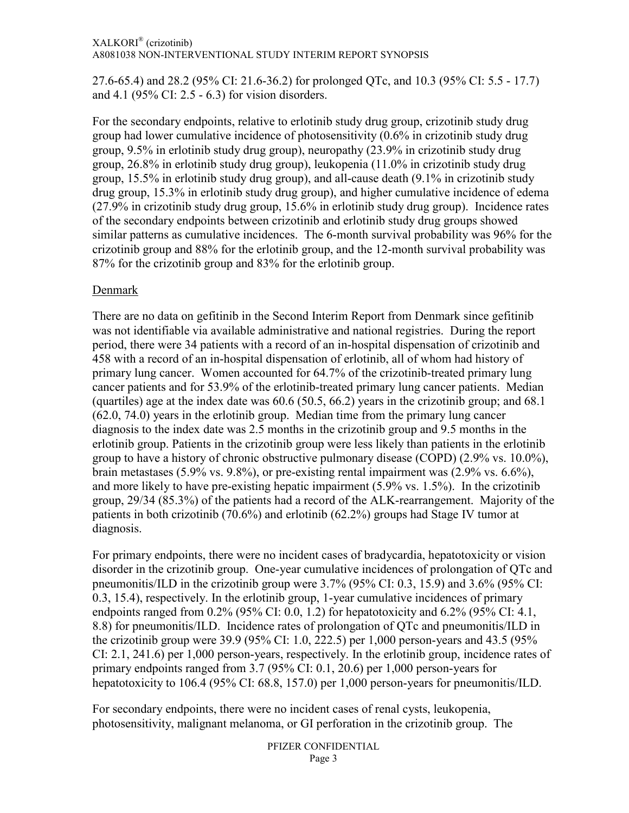#### XALKORI® (crizotinib) A8081038 NON-INTERVENTIONAL STUDY INTERIM REPORT SYNOPSIS

27.6-65.4) and 28.2 (95% CI: 21.6-36.2) for prolonged QTc, and 10.3 (95% CI: 5.5 - 17.7) and 4.1 (95% CI: 2.5 - 6.3) for vision disorders.

For the secondary endpoints, relative to erlotinib study drug group, crizotinib study drug group had lower cumulative incidence of photosensitivity (0.6% in crizotinib study drug group, 9.5% in erlotinib study drug group), neuropathy (23.9% in crizotinib study drug group, 26.8% in erlotinib study drug group), leukopenia (11.0% in crizotinib study drug group, 15.5% in erlotinib study drug group), and all-cause death (9.1% in crizotinib study drug group, 15.3% in erlotinib study drug group), and higher cumulative incidence of edema (27.9% in crizotinib study drug group, 15.6% in erlotinib study drug group). Incidence rates of the secondary endpoints between crizotinib and erlotinib study drug groups showed similar patterns as cumulative incidences. The 6-month survival probability was 96% for the crizotinib group and 88% for the erlotinib group, and the 12-month survival probability was 87% for the crizotinib group and 83% for the erlotinib group.

## Denmark

There are no data on gefitinib in the Second Interim Report from Denmark since gefitinib was not identifiable via available administrative and national registries. During the report period, there were 34 patients with a record of an in-hospital dispensation of crizotinib and 458 with a record of an in-hospital dispensation of erlotinib, all of whom had history of primary lung cancer. Women accounted for 64.7% of the crizotinib-treated primary lung cancer patients and for 53.9% of the erlotinib-treated primary lung cancer patients. Median (quartiles) age at the index date was 60.6 (50.5, 66.2) years in the crizotinib group; and 68.1 (62.0, 74.0) years in the erlotinib group. Median time from the primary lung cancer diagnosis to the index date was 2.5 months in the crizotinib group and 9.5 months in the erlotinib group. Patients in the crizotinib group were less likely than patients in the erlotinib group to have a history of chronic obstructive pulmonary disease (COPD) (2.9% vs. 10.0%), brain metastases (5.9% vs. 9.8%), or pre-existing rental impairment was (2.9% vs. 6.6%), and more likely to have pre-existing hepatic impairment (5.9% vs. 1.5%). In the crizotinib group, 29/34 (85.3%) of the patients had a record of the ALK-rearrangement. Majority of the patients in both crizotinib (70.6%) and erlotinib (62.2%) groups had Stage IV tumor at diagnosis.

For primary endpoints, there were no incident cases of bradycardia, hepatotoxicity or vision disorder in the crizotinib group. One-year cumulative incidences of prolongation of QTc and pneumonitis/ILD in the crizotinib group were 3.7% (95% CI: 0.3, 15.9) and 3.6% (95% CI: 0.3, 15.4), respectively. In the erlotinib group, 1-year cumulative incidences of primary endpoints ranged from 0.2% (95% CI: 0.0, 1.2) for hepatotoxicity and 6.2% (95% CI: 4.1, 8.8) for pneumonitis/ILD. Incidence rates of prolongation of QTc and pneumonitis/ILD in the crizotinib group were 39.9 (95% CI: 1.0, 222.5) per 1,000 person-years and 43.5 (95% CI: 2.1, 241.6) per 1,000 person-years, respectively. In the erlotinib group, incidence rates of primary endpoints ranged from 3.7 (95% CI: 0.1, 20.6) per 1,000 person-years for hepatotoxicity to 106.4 (95% CI: 68.8, 157.0) per 1,000 person-years for pneumonitis/ILD.

For secondary endpoints, there were no incident cases of renal cysts, leukopenia, photosensitivity, malignant melanoma, or GI perforation in the crizotinib group. The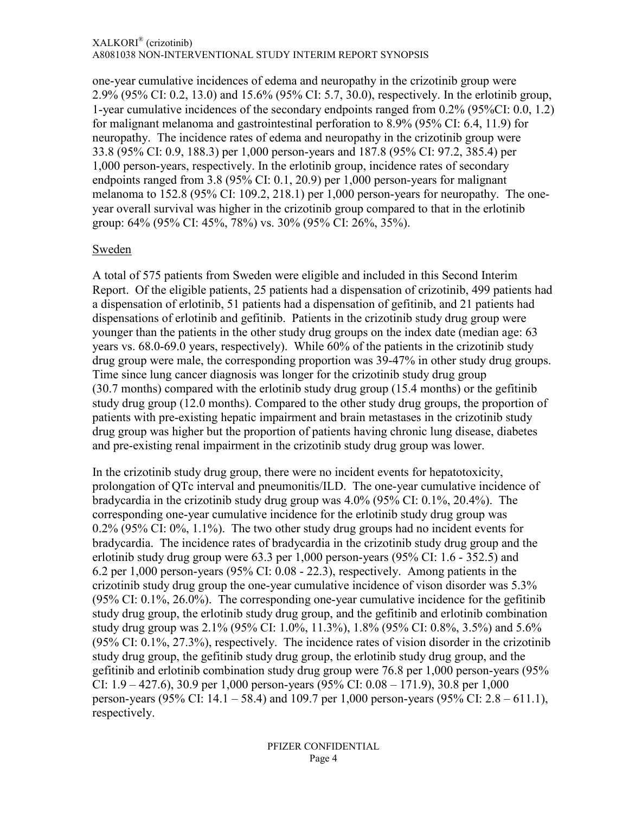one-year cumulative incidences of edema and neuropathy in the crizotinib group were 2.9% (95% CI: 0.2, 13.0) and 15.6% (95% CI: 5.7, 30.0), respectively. In the erlotinib group, 1-year cumulative incidences of the secondary endpoints ranged from 0.2% (95%CI: 0.0, 1.2) for malignant melanoma and gastrointestinal perforation to 8.9% (95% CI: 6.4, 11.9) for neuropathy. The incidence rates of edema and neuropathy in the crizotinib group were 33.8 (95% CI: 0.9, 188.3) per 1,000 person-years and 187.8 (95% CI: 97.2, 385.4) per 1,000 person-years, respectively. In the erlotinib group, incidence rates of secondary endpoints ranged from 3.8 (95% CI: 0.1, 20.9) per 1,000 person-years for malignant melanoma to 152.8 (95% CI: 109.2, 218.1) per 1,000 person-years for neuropathy. The oneyear overall survival was higher in the crizotinib group compared to that in the erlotinib group: 64% (95% CI: 45%, 78%) vs. 30% (95% CI: 26%, 35%).

### Sweden

A total of 575 patients from Sweden were eligible and included in this Second Interim Report. Of the eligible patients, 25 patients had a dispensation of crizotinib, 499 patients had a dispensation of erlotinib, 51 patients had a dispensation of gefitinib, and 21 patients had dispensations of erlotinib and gefitinib. Patients in the crizotinib study drug group were younger than the patients in the other study drug groups on the index date (median age: 63 years vs. 68.0-69.0 years, respectively). While 60% of the patients in the crizotinib study drug group were male, the corresponding proportion was 39-47% in other study drug groups. Time since lung cancer diagnosis was longer for the crizotinib study drug group (30.7 months) compared with the erlotinib study drug group (15.4 months) or the gefitinib study drug group (12.0 months). Compared to the other study drug groups, the proportion of patients with pre-existing hepatic impairment and brain metastases in the crizotinib study drug group was higher but the proportion of patients having chronic lung disease, diabetes and pre-existing renal impairment in the crizotinib study drug group was lower.

In the crizotinib study drug group, there were no incident events for hepatotoxicity, prolongation of QTc interval and pneumonitis/ILD. The one-year cumulative incidence of bradycardia in the crizotinib study drug group was 4.0% (95% CI: 0.1%, 20.4%). The corresponding one-year cumulative incidence for the erlotinib study drug group was 0.2% (95% CI: 0%, 1.1%). The two other study drug groups had no incident events for bradycardia. The incidence rates of bradycardia in the crizotinib study drug group and the erlotinib study drug group were 63.3 per 1,000 person-years (95% CI: 1.6 - 352.5) and 6.2 per 1,000 person-years (95% CI: 0.08 - 22.3), respectively. Among patients in the crizotinib study drug group the one-year cumulative incidence of vison disorder was 5.3% (95% CI:  $0.1\%$ ,  $26.0\%$ ). The corresponding one-year cumulative incidence for the gefitinib study drug group, the erlotinib study drug group, and the gefitinib and erlotinib combination study drug group was 2.1% (95% CI: 1.0%, 11.3%), 1.8% (95% CI: 0.8%, 3.5%) and 5.6% (95% CI: 0.1%, 27.3%), respectively. The incidence rates of vision disorder in the crizotinib study drug group, the gefitinib study drug group, the erlotinib study drug group, and the gefitinib and erlotinib combination study drug group were 76.8 per 1,000 person-years (95% CI: 1.9 – 427.6), 30.9 per 1,000 person-years (95% CI: 0.08 – 171.9), 30.8 per 1,000 person-years (95% CI: 14.1 – 58.4) and 109.7 per 1,000 person-years (95% CI: 2.8 – 611.1), respectively.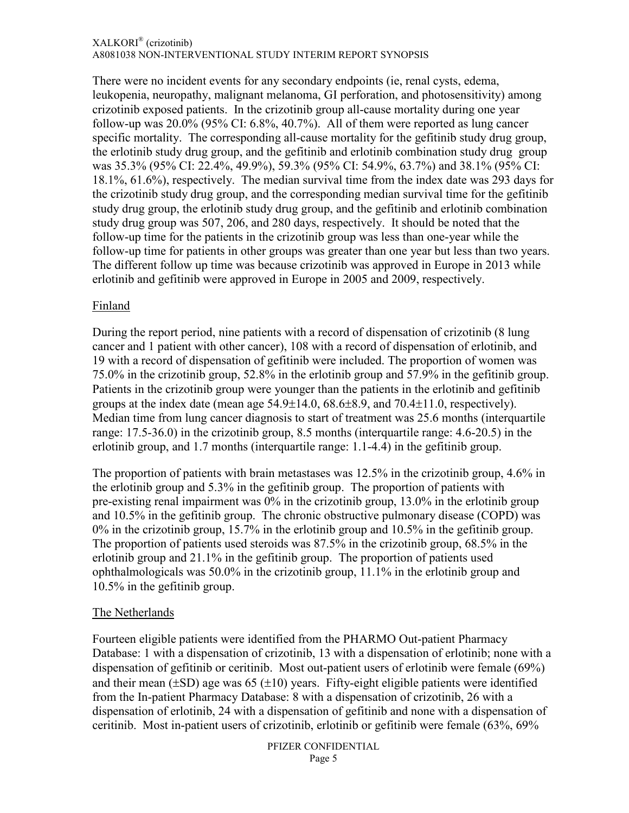#### XALKORI® (crizotinib) A8081038 NON-INTERVENTIONAL STUDY INTERIM REPORT SYNOPSIS

There were no incident events for any secondary endpoints (ie, renal cysts, edema, leukopenia, neuropathy, malignant melanoma, GI perforation, and photosensitivity) among crizotinib exposed patients. In the crizotinib group all-cause mortality during one year follow-up was 20.0% (95% CI: 6.8%, 40.7%). All of them were reported as lung cancer specific mortality. The corresponding all-cause mortality for the gefitinib study drug group, the erlotinib study drug group, and the gefitinib and erlotinib combination study drug group was 35.3% (95% CI: 22.4%, 49.9%), 59.3% (95% CI: 54.9%, 63.7%) and 38.1% (95% CI: 18.1%, 61.6%), respectively. The median survival time from the index date was 293 days for the crizotinib study drug group, and the corresponding median survival time for the gefitinib study drug group, the erlotinib study drug group, and the gefitinib and erlotinib combination study drug group was 507, 206, and 280 days, respectively. It should be noted that the follow-up time for the patients in the crizotinib group was less than one-year while the follow-up time for patients in other groups was greater than one year but less than two years. The different follow up time was because crizotinib was approved in Europe in 2013 while erlotinib and gefitinib were approved in Europe in 2005 and 2009, respectively.

### Finland

During the report period, nine patients with a record of dispensation of crizotinib (8 lung cancer and 1 patient with other cancer), 108 with a record of dispensation of erlotinib, and 19 with a record of dispensation of gefitinib were included. The proportion of women was 75.0% in the crizotinib group, 52.8% in the erlotinib group and 57.9% in the gefitinib group. Patients in the crizotinib group were younger than the patients in the erlotinib and gefitinib groups at the index date (mean age 54.9±14.0, 68.6±8.9, and 70.4±11.0, respectively). Median time from lung cancer diagnosis to start of treatment was 25.6 months (interquartile range: 17.5-36.0) in the crizotinib group, 8.5 months (interquartile range: 4.6-20.5) in the erlotinib group, and 1.7 months (interquartile range: 1.1-4.4) in the gefitinib group.

The proportion of patients with brain metastases was 12.5% in the crizotinib group, 4.6% in the erlotinib group and 5.3% in the gefitinib group. The proportion of patients with pre-existing renal impairment was 0% in the crizotinib group, 13.0% in the erlotinib group and 10.5% in the gefitinib group. The chronic obstructive pulmonary disease (COPD) was 0% in the crizotinib group, 15.7% in the erlotinib group and 10.5% in the gefitinib group. The proportion of patients used steroids was 87.5% in the crizotinib group, 68.5% in the erlotinib group and 21.1% in the gefitinib group. The proportion of patients used ophthalmologicals was 50.0% in the crizotinib group, 11.1% in the erlotinib group and 10.5% in the gefitinib group.

### The Netherlands

Fourteen eligible patients were identified from the PHARMO Out-patient Pharmacy Database: 1 with a dispensation of crizotinib, 13 with a dispensation of erlotinib; none with a dispensation of gefitinib or ceritinib. Most out-patient users of erlotinib were female (69%) and their mean  $(\pm SD)$  age was 65 ( $\pm 10$ ) years. Fifty-eight eligible patients were identified from the In-patient Pharmacy Database: 8 with a dispensation of crizotinib, 26 with a dispensation of erlotinib, 24 with a dispensation of gefitinib and none with a dispensation of ceritinib. Most in-patient users of crizotinib, erlotinib or gefitinib were female (63%, 69%